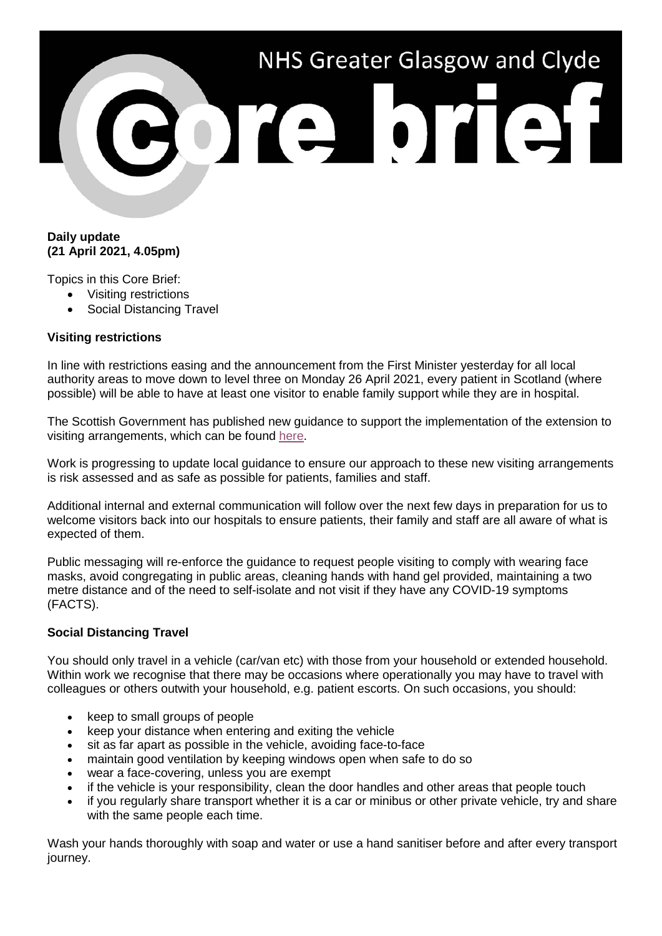

## **Daily update (21 April 2021, 4.05pm)**

Topics in this Core Brief:

- Visiting restrictions
	- Social Distancing Travel

## **Visiting restrictions**

In line with restrictions easing and the announcement from the First Minister yesterday for all local authority areas to move down to level three on Monday 26 April 2021, every patient in Scotland (where possible) will be able to have at least one visitor to enable family support while they are in hospital.

The Scottish Government has published new guidance to support the implementation of the extension to visiting arrangements, which can be found [here.](https://www.gov.scot/binaries/content/documents/govscot/publications/advice-and-guidance/2020/06/coronavirus-covid-19-hospital-visiting-guidance/documents/coronavirus-covid-19---visiting-guidance-for-hospitals-applies-from-26-april-2021/coronavirus-covid-19---visiting-guidance-for-hospitals-applies-from-26-april-2021/govscot%3Adocument/Coronavirus%2BCOVID-19%2B-%2Bvisiting%2Bguidance%2Bfor%2Bhospitals%2B-%2Bapplies%2Bfrom%2B26%2BApril%2B2021.pdf)

Work is progressing to update local guidance to ensure our approach to these new visiting arrangements is risk assessed and as safe as possible for patients, families and staff.

Additional internal and external communication will follow over the next few days in preparation for us to welcome visitors back into our hospitals to ensure patients, their family and staff are all aware of what is expected of them.

Public messaging will re-enforce the guidance to request people visiting to comply with wearing face masks, avoid congregating in public areas, cleaning hands with hand gel provided, maintaining a two metre distance and of the need to self-isolate and not visit if they have any COVID-19 symptoms (FACTS).

## **Social Distancing Travel**

You should only travel in a vehicle (car/van etc) with those from your household or extended household. Within work we recognise that there may be occasions where operationally you may have to travel with colleagues or others outwith your household, e.g. patient escorts. On such occasions, you should:

- keep to small groups of people
- keep your distance when entering and exiting the vehicle
- sit as far apart as possible in the vehicle, avoiding face-to-face
- maintain good ventilation by keeping windows open when safe to do so
- wear a face-covering, unless you are exempt
- if the vehicle is your responsibility, clean the door handles and other areas that people touch
- if you regularly share transport whether it is a car or minibus or other private vehicle, try and share with the same people each time.

Wash your hands thoroughly with soap and water or use a hand sanitiser before and after every transport journey.